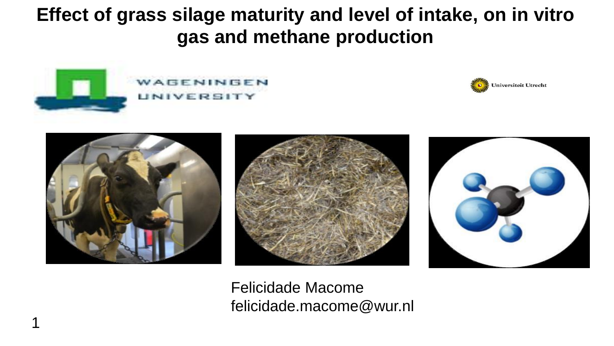**Effect of grass silage maturity and level of intake, on in vitro gas and methane production**











Felicidade Macome felicidade.macome@wur.nl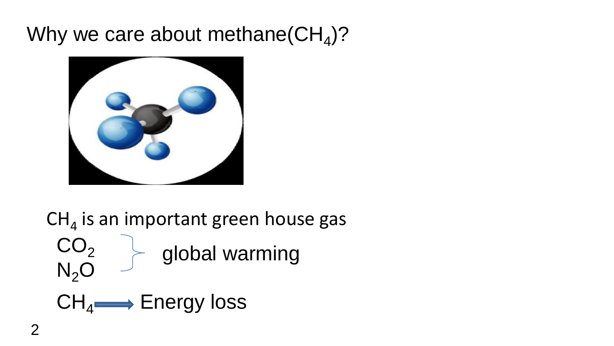## Why we care about methane(CH<sub>4</sub>)?



 $\text{CH}_4$  is an important green house gas  $CO<sub>2</sub>$  $N<sub>2</sub>O$ global warming  $CH_4 \longrightarrow$  Energy loss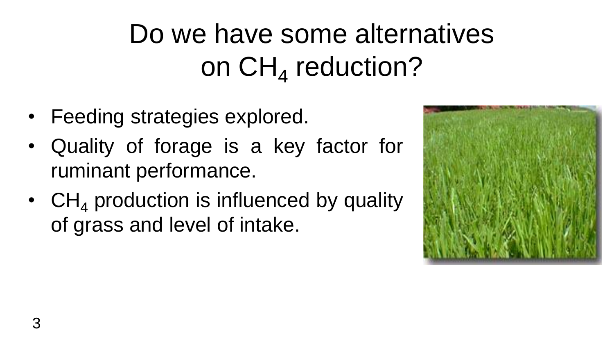Do we have some alternatives on  $\textsf{CH}_4$  reduction?

- Feeding strategies explored.
- Quality of forage is a key factor for ruminant performance.
- $CH<sub>4</sub>$  production is influenced by quality of grass and level of intake.

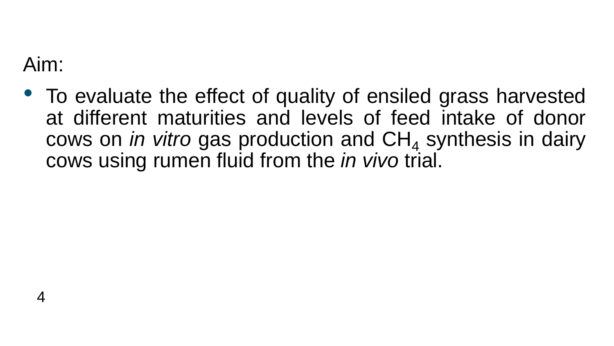Aim:

4

• To evaluate the effect of quality of ensiled grass harvested at different maturities and levels of feed intake of donor cows on *in vitro* gas production and CH<sub>4</sub> synthesis in dairy cows using rumen fluid from the *in vivo* trial.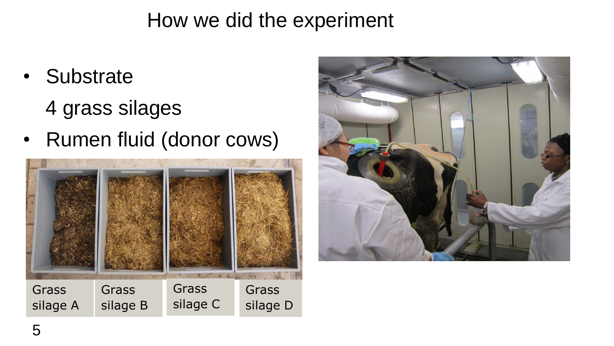#### How we did the experiment

• Substrate

4 grass silages

• Rumen fluid (donor cows)



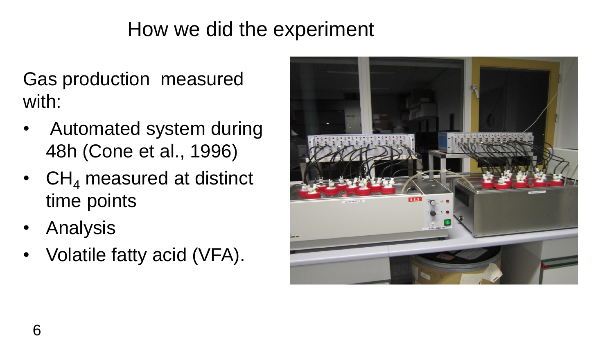## How we did the experiment

Gas production measured with:

- Automated system during 48h (Cone et al., 1996)
- $CH<sub>4</sub>$  measured at distinct time points
- Analysis
- Volatile fatty acid (VFA).

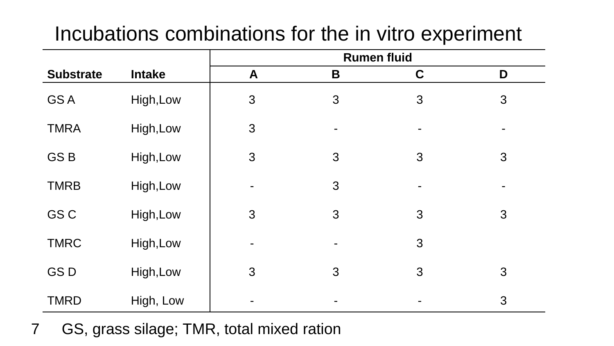## Incubations combinations for the in vitro experiment

|                  |               | <b>Rumen fluid</b> |                |             |   |  |
|------------------|---------------|--------------------|----------------|-------------|---|--|
| <b>Substrate</b> | <b>Intake</b> | A                  | B              | $\mathbf C$ | D |  |
| <b>GSA</b>       | High, Low     | 3                  | 3              | 3           | 3 |  |
| <b>TMRA</b>      | High, Low     | 3                  | $\blacksquare$ | ۰           |   |  |
| GS <sub>B</sub>  | High, Low     | 3                  | 3              | 3           | 3 |  |
| <b>TMRB</b>      | High, Low     |                    | 3              |             |   |  |
| GS C             | High, Low     | 3                  | 3              | 3           | 3 |  |
| <b>TMRC</b>      | High, Low     | -                  | $\blacksquare$ | 3           |   |  |
| <b>GSD</b>       | High, Low     | 3                  | 3              | 3           | 3 |  |
| <b>TMRD</b>      | High, Low     |                    |                |             | 3 |  |

7 GS, grass silage; TMR, total mixed ration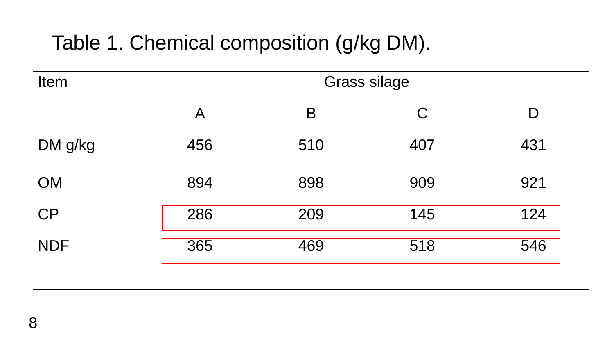## Table 1. Chemical composition (g/kg DM).

| Item       | <b>Grass silage</b> |     |     |     |  |  |
|------------|---------------------|-----|-----|-----|--|--|
|            | A                   | B   | C   | D   |  |  |
| DM g/kg    | 456                 | 510 | 407 | 431 |  |  |
| <b>OM</b>  | 894                 | 898 | 909 | 921 |  |  |
| CP         | 286                 | 209 | 145 | 124 |  |  |
| <b>NDF</b> | 365                 | 469 | 518 | 546 |  |  |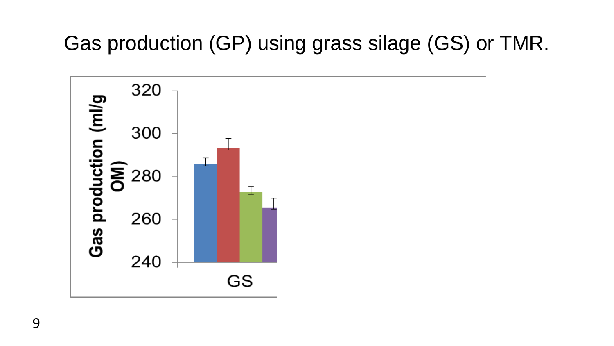## Gas production (GP) using grass silage (GS) or TMR.

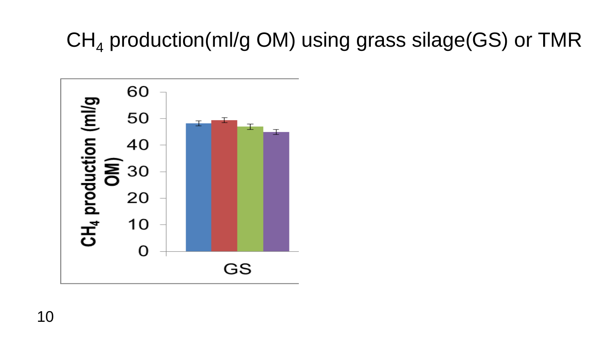## $CH<sub>4</sub>$  production(ml/g OM) using grass silage(GS) or TMR

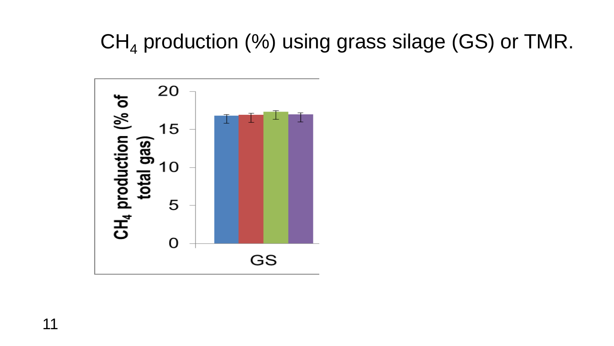## $CH<sub>4</sub>$  production (%) using grass silage (GS) or TMR.

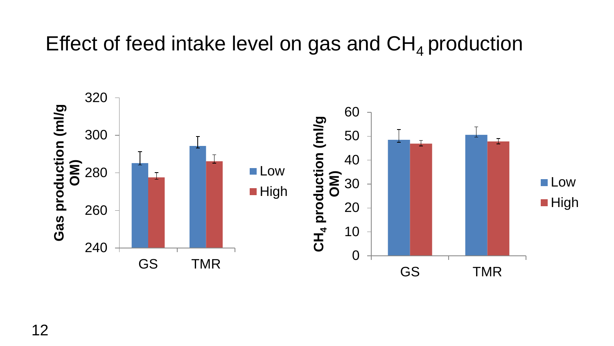#### Effect of feed intake level on gas and  $CH<sub>4</sub>$  production

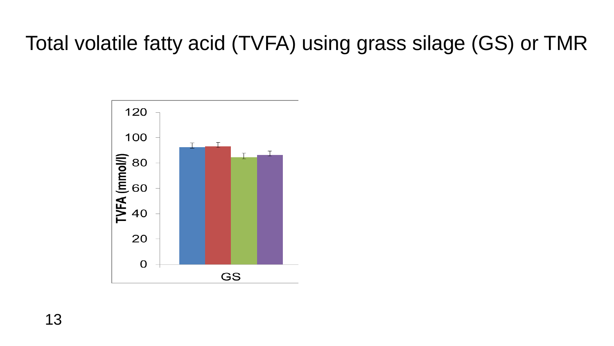## Total volatile fatty acid (TVFA) using grass silage (GS) or TMR



13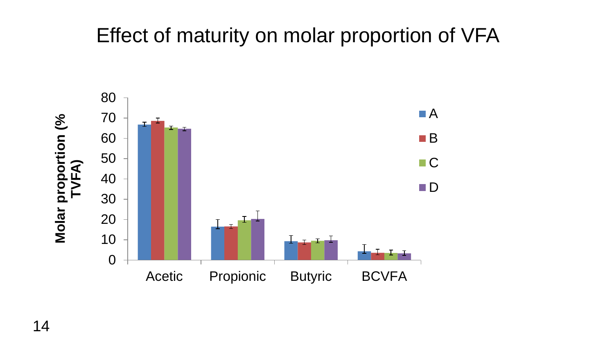#### Effect of maturity on molar proportion of VFA

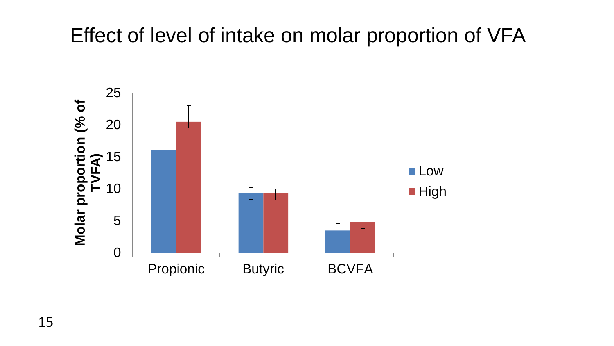#### Effect of level of intake on molar proportion of VFA

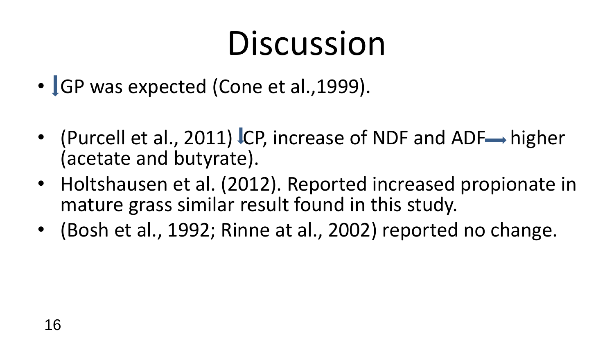# Discussion

- GP was expected (Cone et al., 1999).
- (Purcell et al., 2011) ICP, increase of NDF and ADF $\rightarrow$  higher (acetate and butyrate).
- Holtshausen et al. (2012). Reported increased propionate in mature grass similar result found in this study.
- (Bosh et al., 1992; Rinne at al., 2002) reported no change.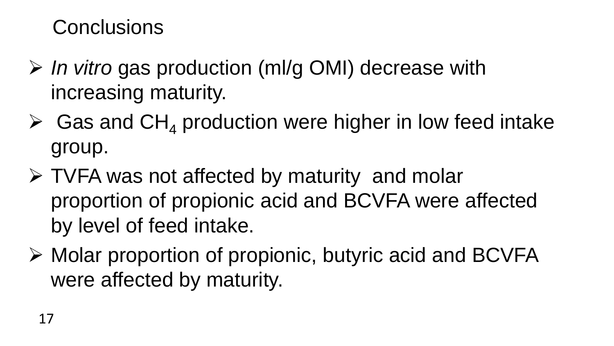#### **Conclusions**

- *In vitro* gas production (ml/g OMI) decrease with increasing maturity.
- $\triangleright$  Gas and CH<sub>4</sub> production were higher in low feed intake group.
- TVFA was not affected by maturity and molar proportion of propionic acid and BCVFA were affected by level of feed intake.
- $\triangleright$  Molar proportion of propionic, butyric acid and BCVFA were affected by maturity.